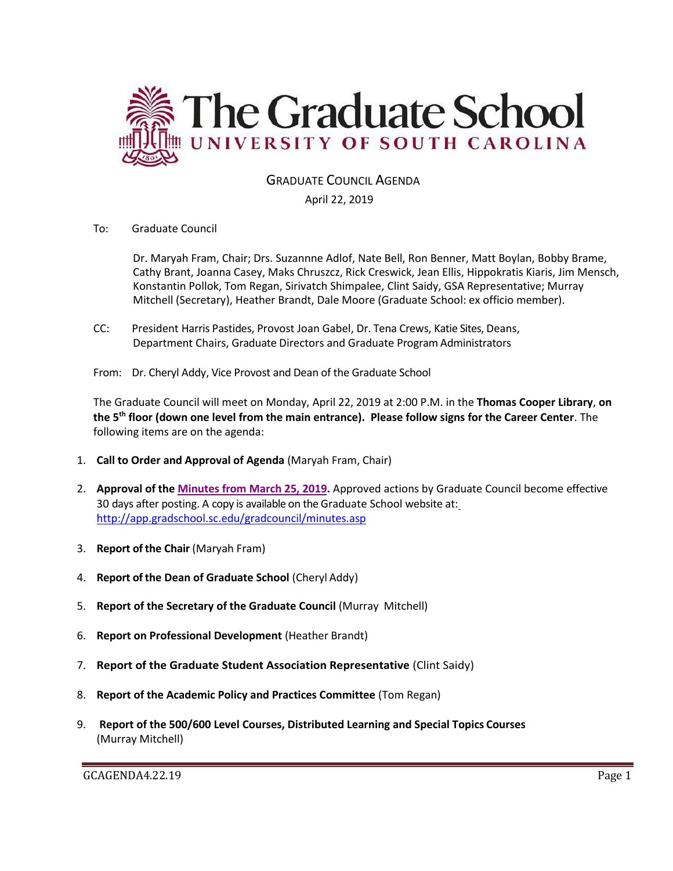

# GRADUATE COUNCIL AGENDA

## April 22, 2019

To: Graduate Council

Dr. Maryah Fram, Chair; Drs. Suzannne Adlof, Nate Bell, Ron Benner, Matt Boylan, Bobby Brame, Cathy Brant, Joanna Casey, Maks Chruszcz, Rick Creswick, Jean Ellis, Hippokratis Kiaris, Jim Mensch, Konstantin Pollok, Tom Regan, Sirivatch Shimpalee, Clint Saidy, GSA Representative; Murray Mitchell (Secretary), Heather Brandt, Dale Moore (Graduate School: ex officio member).

- CC: President Harris Pastides, Provost Joan Gabel, Dr. Tena Crews, Katie Sites, Deans, Department Chairs, Graduate Directors and Graduate Program Administrators
- From: Dr. Cheryl Addy, Vice Provost and Dean of the Graduate School

The Graduate Council will meet on Monday, April 22, 2019 at 2:00 P.M. in the **Thomas Cooper Library**, **on the 5th floor (down one level from the main entrance). Please follow signs for the Career Center**. The following items are on the agenda:

- 1. **Call to Order and Approval of Agenda** (Maryah Fram, Chair)
- 2. **Approval of the [Minutes from March](GCMINUTES3.25.19wAttach.pdf) 25, 2019.** Approved actions by Graduate Council become effective 30 days after posting. A copy is available on the Graduate School website at[:](http://app.gradschool.sc.edu/gradcouncil/minutes.asp) <http://app.gradschool.sc.edu/gradcouncil/minutes.asp>
- 3. **Report of the Chair** (Maryah Fram)
- 4. **Report of the Dean of Graduate School** (Cheryl Addy)
- 5. **Report of the Secretary of the Graduate Council** (Murray Mitchell)
- 6. **Report on Professional Development** (Heather Brandt)
- 7. **Report of the Graduate Student Association Representative** (Clint Saidy)
- 8. **Report of the Academic Policy and Practices Committee** (Tom Regan)
- 9. **Report of the 500/600 Level Courses, Distributed Learning and Special Topics Courses** (Murray Mitchell)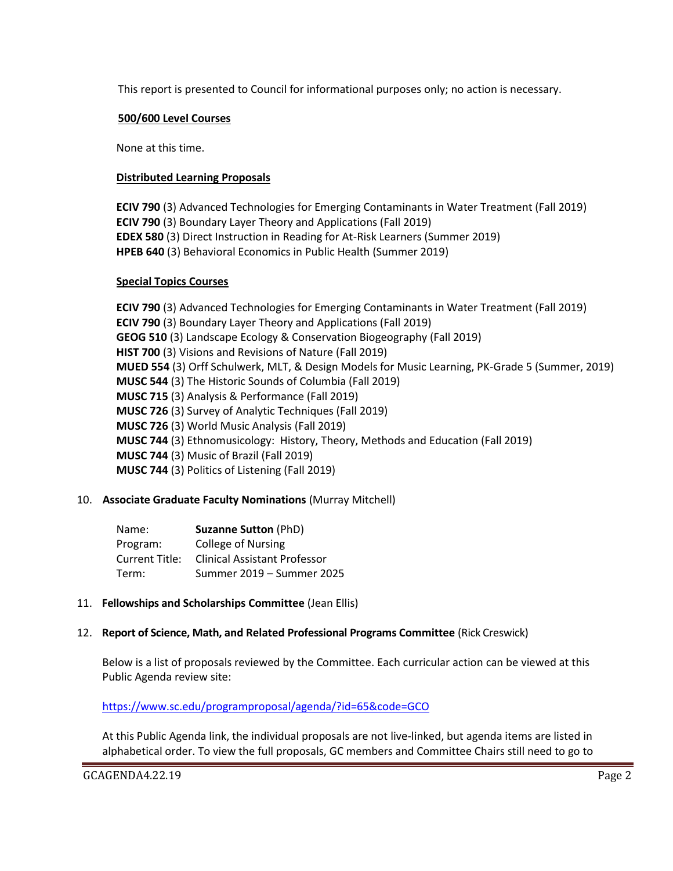This report is presented to Council for informational purposes only; no action is necessary.

## **500/600 Level Courses**

None at this time.

## **Distributed Learning Proposals**

**ECIV 790** (3) Advanced Technologies for Emerging Contaminants in Water Treatment (Fall 2019) **ECIV 790** (3) Boundary Layer Theory and Applications (Fall 2019) **EDEX 580** (3) Direct Instruction in Reading for At-Risk Learners (Summer 2019) **HPEB 640** (3) Behavioral Economics in Public Health (Summer 2019)

### **Special Topics Courses**

**ECIV 790** (3) Advanced Technologies for Emerging Contaminants in Water Treatment (Fall 2019) **ECIV 790** (3) Boundary Layer Theory and Applications (Fall 2019) **GEOG 510** (3) Landscape Ecology & Conservation Biogeography (Fall 2019) **HIST 700** (3) Visions and Revisions of Nature (Fall 2019) **MUED 554** (3) Orff Schulwerk, MLT, & Design Models for Music Learning, PK-Grade 5 (Summer, 2019) **MUSC 544** (3) The Historic Sounds of Columbia (Fall 2019) **MUSC 715** (3) Analysis & Performance (Fall 2019) **MUSC 726** (3) Survey of Analytic Techniques (Fall 2019) **MUSC 726** (3) World Music Analysis (Fall 2019) **MUSC 744** (3) Ethnomusicology: History, Theory, Methods and Education (Fall 2019) **MUSC 744** (3) Music of Brazil (Fall 2019) **MUSC 744** (3) Politics of Listening (Fall 2019)

## 10. **Associate Graduate Faculty Nominations** (Murray Mitchell)

| Name:          | <b>Suzanne Sutton (PhD)</b>         |
|----------------|-------------------------------------|
| Program:       | College of Nursing                  |
| Current Title: | <b>Clinical Assistant Professor</b> |
| Term:          | Summer 2019 – Summer 2025           |

### 11. **Fellowships and Scholarships Committee** (Jean Ellis)

### 12. **Report of Science, Math, and Related Professional Programs Committee** (Rick Creswick)

Below is a list of proposals reviewed by the Committee. Each curricular action can be viewed at this Public Agenda review site:

<https://www.sc.edu/programproposal/agenda/?id=65&code=GCO>

At this Public Agenda link, the individual proposals are not live-linked, but agenda items are listed in alphabetical order. To view the full proposals, GC members and Committee Chairs still need to go to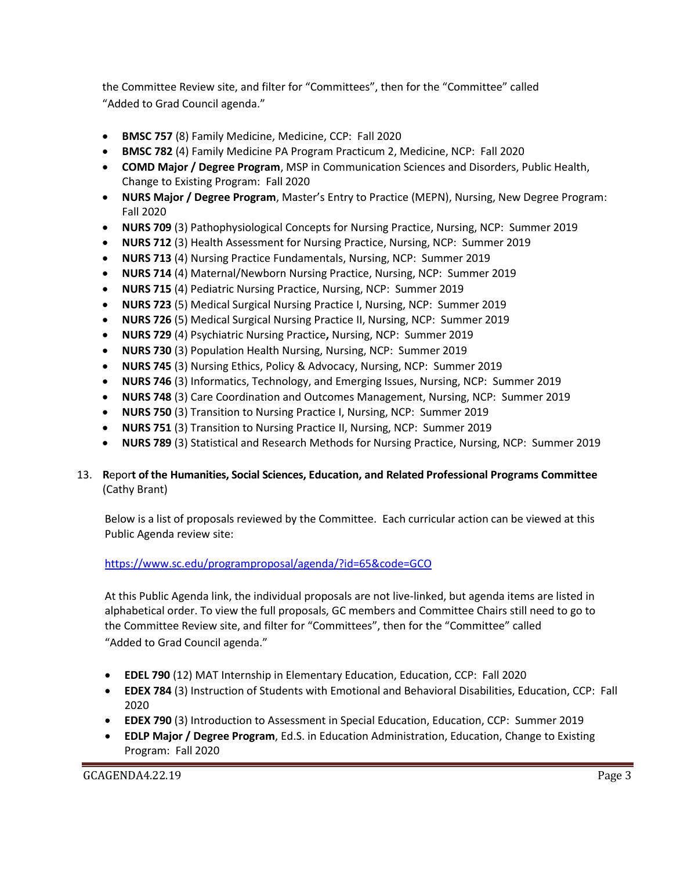the Committee Review site, and filter for "Committees", then for the "Committee" called "Added to Grad Council agenda."

- **BMSC 757** (8) Family Medicine, Medicine, CCP: Fall 2020
- **BMSC 782** (4) Family Medicine PA Program Practicum 2, Medicine, NCP: Fall 2020
- **COMD Major / Degree Program**, MSP in Communication Sciences and Disorders, Public Health, Change to Existing Program: Fall 2020
- **NURS Major / Degree Program**, Master's Entry to Practice (MEPN), Nursing, New Degree Program: Fall 2020
- **NURS 709** (3) Pathophysiological Concepts for Nursing Practice, Nursing, NCP: Summer 2019
- **NURS 712** (3) Health Assessment for Nursing Practice, Nursing, NCP: Summer 2019
- **NURS 713** (4) Nursing Practice Fundamentals, Nursing, NCP: Summer 2019
- **NURS 714** (4) Maternal/Newborn Nursing Practice, Nursing, NCP: Summer 2019
- **NURS 715** (4) Pediatric Nursing Practice, Nursing, NCP: Summer 2019
- **NURS 723** (5) Medical Surgical Nursing Practice I, Nursing, NCP: Summer 2019
- **NURS 726** (5) Medical Surgical Nursing Practice II, Nursing, NCP: Summer 2019
- **NURS 729** (4) Psychiatric Nursing Practice**,** Nursing, NCP: Summer 2019
- **NURS 730** (3) Population Health Nursing, Nursing, NCP: Summer 2019
- **NURS 745** (3) Nursing Ethics, Policy & Advocacy, Nursing, NCP: Summer 2019
- **NURS 746** (3) Informatics, Technology, and Emerging Issues, Nursing, NCP: Summer 2019
- **NURS 748** (3) Care Coordination and Outcomes Management, Nursing, NCP: Summer 2019
- **NURS 750** (3) Transition to Nursing Practice I, Nursing, NCP: Summer 2019
- **NURS 751** (3) Transition to Nursing Practice II, Nursing, NCP: Summer 2019
- **NURS 789** (3) Statistical and Research Methods for Nursing Practice, Nursing, NCP: Summer 2019

# 13. **R**epor**t of the Humanities, Social Sciences, Education, and Related Professional Programs Committee**  (Cathy Brant)

Below is a list of proposals reviewed by the Committee. Each curricular action can be viewed at this Public Agenda review site:

# <https://www.sc.edu/programproposal/agenda/?id=65&code=GCO>

At this Public Agenda link, the individual proposals are not live-linked, but agenda items are listed in alphabetical order. To view the full proposals, GC members and Committee Chairs still need to go to the Committee Review site, and filter for "Committees", then for the "Committee" called "Added to Grad Council agenda."

- **EDEL 790** (12) MAT Internship in Elementary Education, Education, CCP: Fall 2020
- **EDEX 784** (3) Instruction of Students with Emotional and Behavioral Disabilities, Education, CCP: Fall 2020
- **EDEX 790** (3) Introduction to Assessment in Special Education, Education, CCP: Summer 2019
- **EDLP Major / Degree Program**, Ed.S. in Education Administration, Education, Change to Existing Program: Fall 2020